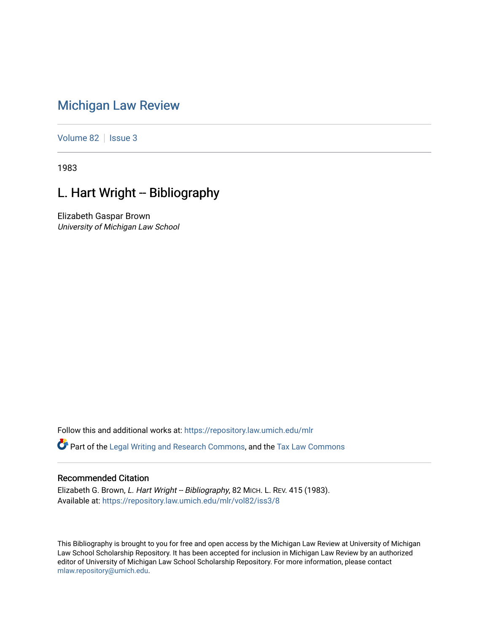## [Michigan Law Review](https://repository.law.umich.edu/mlr)

[Volume 82](https://repository.law.umich.edu/mlr/vol82) | [Issue 3](https://repository.law.umich.edu/mlr/vol82/iss3)

1983

## L. Hart Wright -- Bibliography

Elizabeth Gaspar Brown University of Michigan Law School

Follow this and additional works at: [https://repository.law.umich.edu/mlr](https://repository.law.umich.edu/mlr?utm_source=repository.law.umich.edu%2Fmlr%2Fvol82%2Fiss3%2F8&utm_medium=PDF&utm_campaign=PDFCoverPages) 

Part of the [Legal Writing and Research Commons,](http://network.bepress.com/hgg/discipline/614?utm_source=repository.law.umich.edu%2Fmlr%2Fvol82%2Fiss3%2F8&utm_medium=PDF&utm_campaign=PDFCoverPages) and the [Tax Law Commons](http://network.bepress.com/hgg/discipline/898?utm_source=repository.law.umich.edu%2Fmlr%2Fvol82%2Fiss3%2F8&utm_medium=PDF&utm_campaign=PDFCoverPages) 

## Recommended Citation

Elizabeth G. Brown, L. Hart Wright -- Bibliography, 82 MICH. L. REV. 415 (1983). Available at: [https://repository.law.umich.edu/mlr/vol82/iss3/8](https://repository.law.umich.edu/mlr/vol82/iss3/8?utm_source=repository.law.umich.edu%2Fmlr%2Fvol82%2Fiss3%2F8&utm_medium=PDF&utm_campaign=PDFCoverPages)

This Bibliography is brought to you for free and open access by the Michigan Law Review at University of Michigan Law School Scholarship Repository. It has been accepted for inclusion in Michigan Law Review by an authorized editor of University of Michigan Law School Scholarship Repository. For more information, please contact [mlaw.repository@umich.edu.](mailto:mlaw.repository@umich.edu)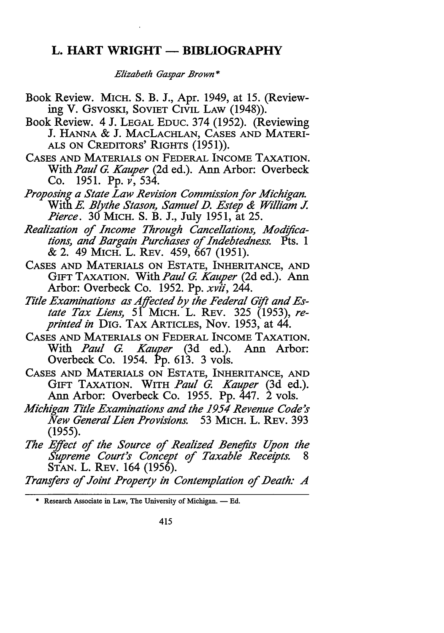## **L. HART WRIGHT - BIBLIOGRAPHY**

*Elizabeth Gaspar Brown\** 

- Book Review. MICH. S. B. J., Apr. 1949, at 15. (Reviewing V. GSVOSKI, SOVIET CIVIL LAW (1948)).
- Book Review. 4 J. LEGAL EDUC. 374 (1952). (Reviewing **J. HANNA** & **J. MACLACHLAN, CASES AND MATERI-ALS ON CREDITORS' RIGHTS (1951)).**
- **CASES AND MATERIALS ON** FEDERAL **INCOME TAXATION.**  With *Paul G. Kauper* (2d ed.). Ann Arbor: Overbeck Co. 1951. Pp. *v,* 534.
- *Proposing a State Law Revision Commission for Michigan.*  With *E. Blythe Stason, Samuel D. Estep & William J. Pierce.* 30 MICH. S. B. J., July 1951, at 25.
- *Realization of Income Through Cancellations, Modifications, and Bargain Purchases of Indebtedness.* Pts. 1 & 2. 49 MICH. L. REV. 459, 667 (1951).
- **CASES AND MATERIALS ON ESTATE, INHERITANCE, AND**  GIFT TAXATION. With *Paul G. Kauper* (2d ed.). Ann Arbor: Overbeck Co. 1952. Pp. *xvii,* 244.
- *Title Examinations as Affected by the Federal Gift and Es*tate Tax Liens, 5<sup>1</sup> MICH. L. REV. 325 (1953), re*printed in* DIG. TAX ARTICLES, Nov. 1953, at 44.
- CASES AND MATERIALS ON FEDERAL INCOME TAXATION. With *Paul G. Kauper* (3d ed.). Ann Arbor: Overbeck Co. 1954. Pp. 613. 3 vols.
- **CASES AND MATERIALS ON ESTATE, INHERITANCE, AND**  GIFT TAXATION. WITH *Paul G. Kauper* (3d ed.). Ann Arbor: Overbeck Co. 1955. Pp. 447. 2 vols.
- *Michigan Title Examinations and the 1954 Revenue Code's New General Lien Provisions.* 53 MICH. L. REv. 393 (1955).
- *The Effect of the Source of Realized Benefits Upon the*   $\tilde{Supreme}$  Court's Concept of Taxable Receipts. **STAN. L. REV. 164 (1956).**
- Transfers of Joint Property in Contemplation of Death: A

<sup>\*</sup> Research Associate in Law, The University of Michigan. - Ed.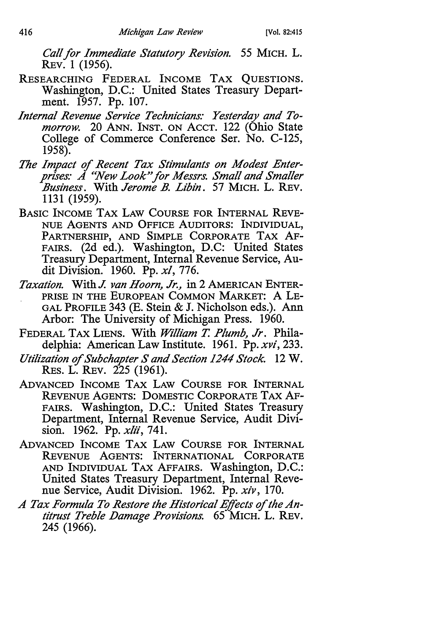*Call for Immediate Statutory Revision.* 55 MICH. L. REv. I (1956).

- **RESEARCHING FEDERAL INCOME TAX QUESTIONS.**  Washington, D.C.: United States Treasury Department. 1957. Pp. 107.
- *Internal Revenue Service Technicians: Yesterday and Tomorrow.* 20 ANN. INST. ON ACCT. 122 (Ohio State College of Commerce Conference Ser. No. C-125, 1958).
- *The Impact of Recent Tax Stimulants on Modest Enterprises: A "New Look"for Messrs. Small and Smaller .Business.* With *Jerome .B. Libin.* 57 MICH. L. REV. 1131 (1959).
- **BASIC INCOME TAX LAW COURSE FOR INTERNAL REVE-NUE AGENTS AND OFFICE AUDITORS: INDIVIDUAL, PARTNERSHIP, AND SIMPLE CORPORATE TAX AF-**FAIRS. (2d ed.). Washington, D.C: United States Treasury Department, Internal Revenue Service, Audit Division. 1960. Pp. *xi,* 776.
- *Taxation.* With *J. van Hoorn, Jr.,* in 2 AMERICAN ENTER-PRISE IN THE EUROPEAN COMMON MARKET: A LE-GAL PROFILE 343 (E. Stein & J. Nicholson eds.). Ann Arbor: The University of Michigan Press. 1960.
- FEDERAL TAX LIENS. With *William* T. *Plumb, Jr.* Philadelphia: American Law Institute. 1961. Pp. *xvi,* 233.
- *Utilization of Subchapter Sand Section 1244 Stock.* 12 W. **RES. L. REV. 225 (1961).**
- **ADVANCED INCOME TAX LAW COURSE FOR INTERNAL**  REVENUE AGENTS: DOMESTIC CORPORATE TAX AF-FAIRS. Washington, D.C.: United States Treasury Department, Internal Revenue Service, Audit Division. 1962. Pp. *xiii,* 741.
- **ADVANCED INCOME TAX LAW COURSE FOR INTERNAL REVENUE AGENTS: INTERNATIONAL CORPORATE**  AND INDIVIDUAL TAX AFFAIRS. Washington, D.C.: United States Treasury Department, Internal Revenue Service, Audit Division. 1962. Pp. *xiv,* 170.
- *A Tax Formula To Restore the Historical Effects of the An*titrust Treble Damage Provisions. **65 MICH. L. REV.** 245 (1966).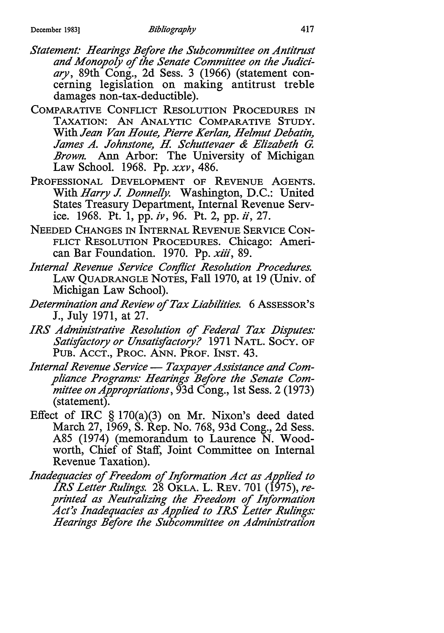- *Statement: Hearings Before the Subcommittee on Antitrust and Monopoly of the Senate Committee on the Judiciary,* 89th Cong., 2d Sess. 3 (1966) (statement concerning legislation on making antitrust treble damages non-tax-deductible).
- **COMPARATIVE CONFLICT RESOLUTION PROCEDURES IN TAXATION: AN ANALYTIC COMPARATIVE STUDY.**  With *Jean Van Houte, Pierre Ker/an, Helmut Debatin, James A. Johnstone, H. Schuttevaer & Elizabeth G. Brown.* Ann Arbor: The University of Michigan Law School. 1968. Pp. *xxv,* 486.
- **PROFESSIONAL DEVELOPMENT OF REVENUE AGENTS.**  With *Harry J. Donnelly.* Washington, D.C.: United States Treasury Department, Internal Revenue Service. 1968. Pt. 1, pp. *iv,* 96. Pt. 2, pp. *ii,* 27.
- NEEDED CHANGES IN INTERNAL REVENUE SERVICE CON-FLICT RESOLUTION PROCEDURES. Chicago: American Bar Foundation. 1970. Pp. *xiii,* 89.
- *Internal Revenue Service Conflict Resolution Procedures.*  LAW QUADRANGLE NOTES, Fall 1970, at 19 (Univ. of Michigan Law School).
- *Determination and Review of Tax Liabilities.* 6 ASSESSOR'S J., July 1971, at 27.
- *IRS Administrative Resolution of Federal Tax Disputes: Satisfactory or Unsatisfactory?* 1971 NATL. SocY. OF PUB. ACCT., PROC. ANN. PROF. INST. 43.
- Internal Revenue Service Taxpayer Assistance and Com*pliance Programs: Hearings Before the Senate Committee on Appropriations,* 93d Cong., 1st Sess. 2 (1973) (statement).
- Effect of IRC § 170(a)(3) on Mr. Nixon's deed dated March 27, 1969, S. Rep. No. 768, 93d Cong., 2d Sess. A85 (1974) (memorandum to Laurence N. Woodworth, Chief of Staff, Joint Committee on Internal Revenue Taxation).
- *Inadequacies* of *Freedom* of *Information Act as Applied to IRS Letter Rulings.* 28 OKLA. L. REV. 701 (1975), *reprinted as Neutralizing the Freedom of Information Act's Inadequacies as Applied to IRS Letter Rulings: Hearings Before the Subcommittee on Administration*